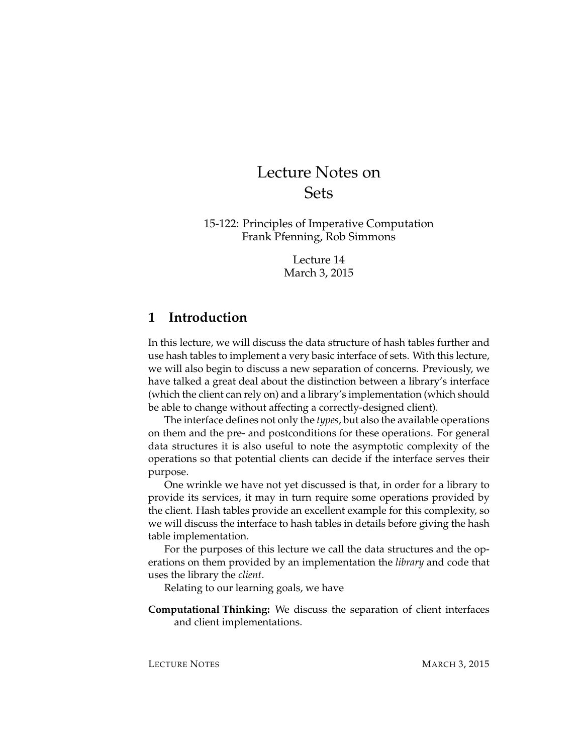# Lecture Notes on Sets

15-122: Principles of Imperative Computation Frank Pfenning, Rob Simmons

> Lecture 14 March 3, 2015

### **1 Introduction**

In this lecture, we will discuss the data structure of hash tables further and use hash tables to implement a very basic interface of sets. With this lecture, we will also begin to discuss a new separation of concerns. Previously, we have talked a great deal about the distinction between a library's interface (which the client can rely on) and a library's implementation (which should be able to change without affecting a correctly-designed client).

The interface defines not only the *types*, but also the available operations on them and the pre- and postconditions for these operations. For general data structures it is also useful to note the asymptotic complexity of the operations so that potential clients can decide if the interface serves their purpose.

One wrinkle we have not yet discussed is that, in order for a library to provide its services, it may in turn require some operations provided by the client. Hash tables provide an excellent example for this complexity, so we will discuss the interface to hash tables in details before giving the hash table implementation.

For the purposes of this lecture we call the data structures and the operations on them provided by an implementation the *library* and code that uses the library the *client*.

Relating to our learning goals, we have

**Computational Thinking:** We discuss the separation of client interfaces and client implementations.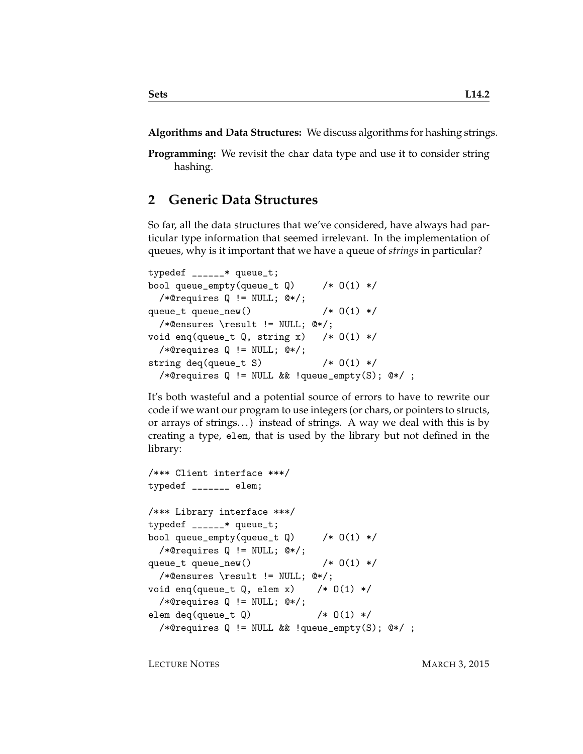**Algorithms and Data Structures:** We discuss algorithms for hashing strings.

**Programming:** We revisit the char data type and use it to consider string hashing.

#### **2 Generic Data Structures**

So far, all the data structures that we've considered, have always had particular type information that seemed irrelevant. In the implementation of queues, why is it important that we have a queue of *strings* in particular?

```
typedef ______* queue_t;
bool queue_empty(queue_t Q) /* 0(1) */
 /*@requires Q != NULL; @*/;
queue_t queue_new() /* 0(1) *//*@ensures \result != NULL; @*/;
void enq(queue_t Q, string x) /* 0(1) *//*@requires Q != NULL; @*/;
string deq(queue_t S) /* 0(1) *//*@requires Q != NULL && !queue_empty(S); @*/ ;
```
It's both wasteful and a potential source of errors to have to rewrite our code if we want our program to use integers (or chars, or pointers to structs, or arrays of strings...) instead of strings. A way we deal with this is by creating a type, elem, that is used by the library but not defined in the library:

```
/*** Client interface ***/
typedef _______ elem;
/*** Library interface ***/
typedef ______* queue_t;
bool queue_empty(queue_t Q) /* 0(1) */
 /*@requires Q != NULL; @*/;
queue_t queue_new() /* 0(1) *//*@ensures \result != NULL; @*/;
void enq(queue_t Q, elem x) /* 0(1) */
  /*@requires Q != NULL; @*/;
elem deq(queue_t Q) /* Q(1) *//*@requires Q != NULL && !queue_empty(S); @*/ ;
```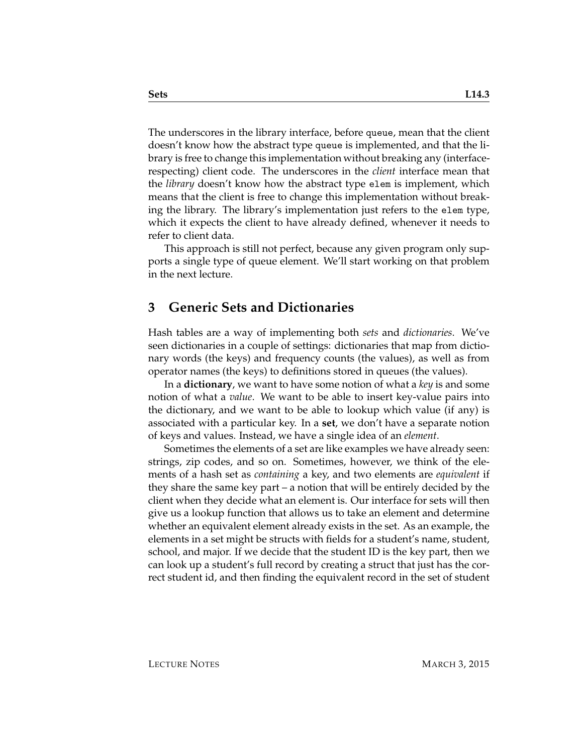The underscores in the library interface, before queue, mean that the client doesn't know how the abstract type queue is implemented, and that the library is free to change this implementation without breaking any (interfacerespecting) client code. The underscores in the *client* interface mean that the *library* doesn't know how the abstract type elem is implement, which means that the client is free to change this implementation without breaking the library. The library's implementation just refers to the elem type, which it expects the client to have already defined, whenever it needs to refer to client data.

This approach is still not perfect, because any given program only supports a single type of queue element. We'll start working on that problem in the next lecture.

#### **3 Generic Sets and Dictionaries**

Hash tables are a way of implementing both *sets* and *dictionaries*. We've seen dictionaries in a couple of settings: dictionaries that map from dictionary words (the keys) and frequency counts (the values), as well as from operator names (the keys) to definitions stored in queues (the values).

In a **dictionary**, we want to have some notion of what a *key* is and some notion of what a *value*. We want to be able to insert key-value pairs into the dictionary, and we want to be able to lookup which value (if any) is associated with a particular key. In a **set**, we don't have a separate notion of keys and values. Instead, we have a single idea of an *element*.

Sometimes the elements of a set are like examples we have already seen: strings, zip codes, and so on. Sometimes, however, we think of the elements of a hash set as *containing* a key, and two elements are *equivalent* if they share the same key part – a notion that will be entirely decided by the client when they decide what an element is. Our interface for sets will then give us a lookup function that allows us to take an element and determine whether an equivalent element already exists in the set. As an example, the elements in a set might be structs with fields for a student's name, student, school, and major. If we decide that the student ID is the key part, then we can look up a student's full record by creating a struct that just has the correct student id, and then finding the equivalent record in the set of student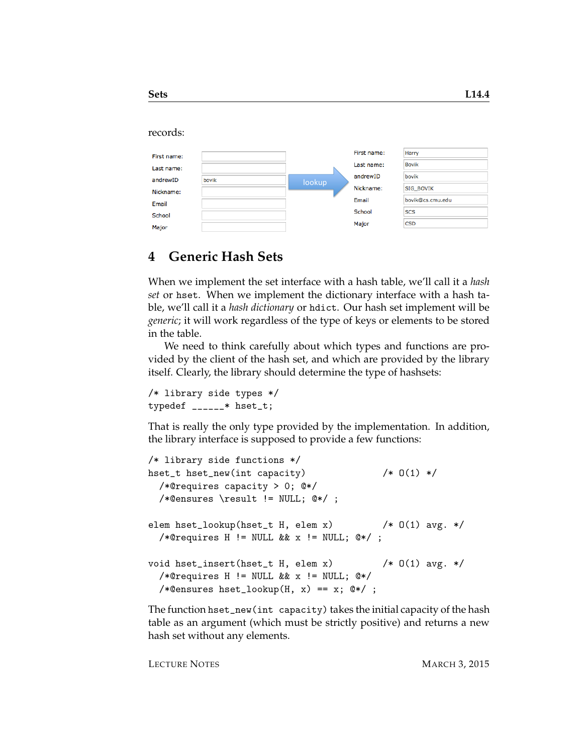#### records:

| First name: |       |        | First name: | Harry            |
|-------------|-------|--------|-------------|------------------|
| Last name:  |       |        | Last name:  | <b>Bovik</b>     |
| andrewID    | bovik |        | andrewID    | bovik            |
| Nickname:   |       | lookup | Nickname:   | <b>SIG BOVIK</b> |
| Email       |       |        | Email       | bovik@cs.cmu.edu |
|             |       |        | School      | <b>SCS</b>       |
| School      |       |        | Major       | <b>CSD</b>       |
| Major       |       |        |             |                  |

#### **4 Generic Hash Sets**

When we implement the set interface with a hash table, we'll call it a *hash set* or hset. When we implement the dictionary interface with a hash table, we'll call it a *hash dictionary* or hdict. Our hash set implement will be *generic*; it will work regardless of the type of keys or elements to be stored in the table.

We need to think carefully about which types and functions are provided by the client of the hash set, and which are provided by the library itself. Clearly, the library should determine the type of hashsets:

```
/* library side types */
typedef _{---*} hset_t;
```
That is really the only type provided by the implementation. In addition, the library interface is supposed to provide a few functions:

```
/* library side functions */
hset_t hset_new(int capacity) /* 0(1) *//*@requires capacity > 0; @*/
 /*@ensures \result != NULL; @*/ ;
elem hset_lookup(hset_t H, elem x) /* 0(1) avg. *//*@requires H != NULL && x != NULL; @*/;
void hset_insert(hset_t H, elem x) /* O(1) avg. */
  /*@requires H != NULL && x != NULL; @*/
  /*Qensures hset\_lookup(H, x) == x; @*/;
```
The function hset\_new(int capacity) takes the initial capacity of the hash table as an argument (which must be strictly positive) and returns a new hash set without any elements.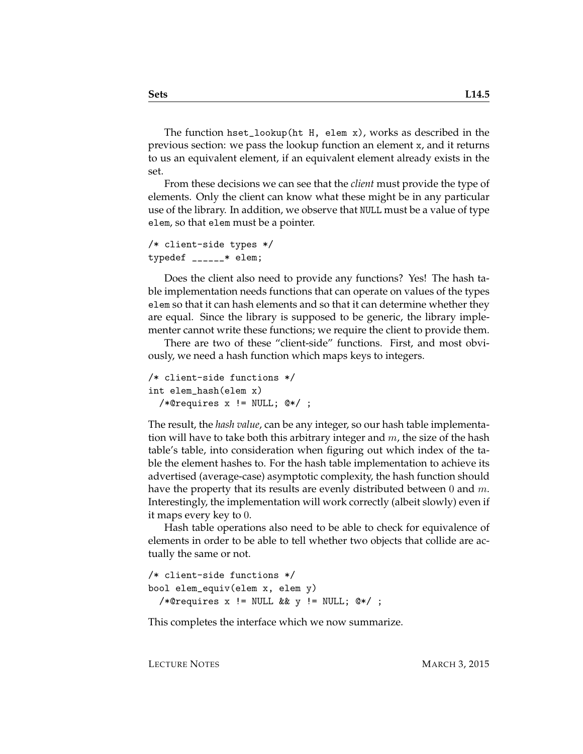The function hset\_lookup(ht H, elem x), works as described in the previous section: we pass the lookup function an element x, and it returns to us an equivalent element, if an equivalent element already exists in the set.

From these decisions we can see that the *client* must provide the type of elements. Only the client can know what these might be in any particular use of the library. In addition, we observe that NULL must be a value of type elem, so that elem must be a pointer.

```
/* client-side types */
typedef ______* elem;
```
Does the client also need to provide any functions? Yes! The hash table implementation needs functions that can operate on values of the types elem so that it can hash elements and so that it can determine whether they are equal. Since the library is supposed to be generic, the library implementer cannot write these functions; we require the client to provide them.

There are two of these "client-side" functions. First, and most obviously, we need a hash function which maps keys to integers.

```
/* client-side functions */
int elem_hash(elem x)
  /*@requires x != NULL; @*/ ;
```
The result, the *hash value*, can be any integer, so our hash table implementation will have to take both this arbitrary integer and  $m$ , the size of the hash table's table, into consideration when figuring out which index of the table the element hashes to. For the hash table implementation to achieve its advertised (average-case) asymptotic complexity, the hash function should have the property that its results are evenly distributed between 0 and  $m$ . Interestingly, the implementation will work correctly (albeit slowly) even if it maps every key to 0.

Hash table operations also need to be able to check for equivalence of elements in order to be able to tell whether two objects that collide are actually the same or not.

```
/* client-side functions */
bool elem_equiv(elem x, elem y)
  /*@requires x != NULL && y != NULL; @*/ ;
```
This completes the interface which we now summarize.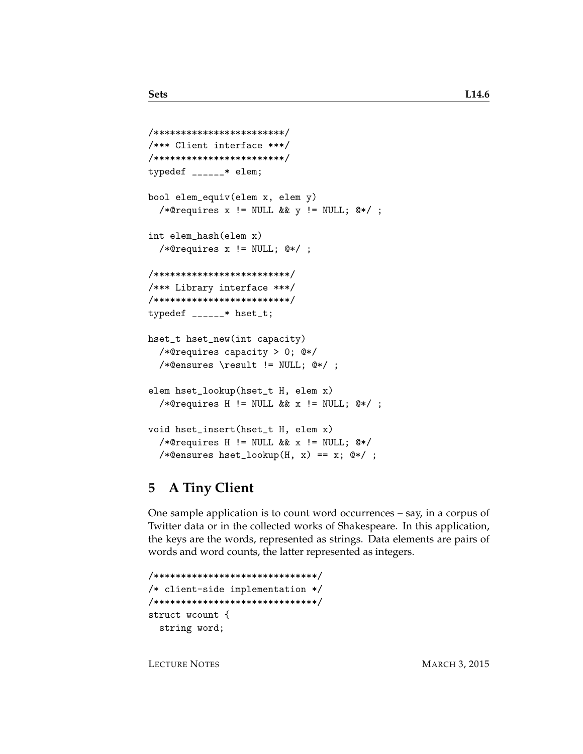```
/************************/
/*** Client interface ***/
/************************/
typedef ______* elem;
bool elem_equiv(elem x, elem y)
  /*@requires x != NULL && y != NULL; @*/ ;
int elem_hash(elem x)
  /*@requires x != NULL; @*/ ;
/*************************/
/*** Library interface ***/
/*************************/
typedef ______* hset_t;
hset_t hset_new(int capacity)
  /*@requires capacity > 0; @*/
  /*@ensures \result != NULL; @*/ ;
elem hset_lookup(hset_t H, elem x)
  /*@requires H != NULL && x != NULL; @*/ ;
void hset_insert(hset_t H, elem x)
  /*@requires H != NULL && x != NULL; @*/
  /*@ensures hset_lookup(H, x) == x; @*/ ;
```
# **5 A Tiny Client**

One sample application is to count word occurrences – say, in a corpus of Twitter data or in the collected works of Shakespeare. In this application, the keys are the words, represented as strings. Data elements are pairs of words and word counts, the latter represented as integers.

```
/******************************/
/* client-side implementation */
/******************************/
struct wcount {
  string word;
```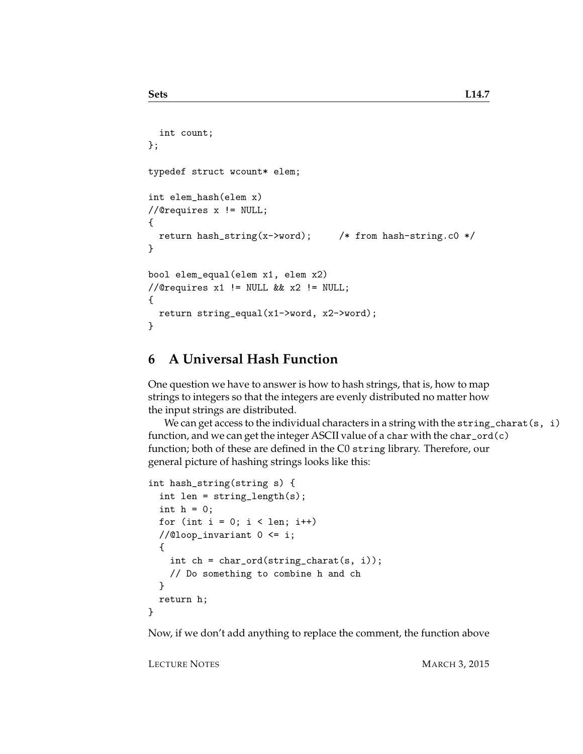```
int count;
};
typedef struct wcount* elem;
int elem_hash(elem x)
//@requires x != NULL;
{
  return hash_string(x->word); /* from hash-string.c0 */
}
bool elem_equal(elem x1, elem x2)
//@requires x1 != NULL && x2 != NULL;
{
  return string_equal(x1->word, x2->word);
}
```
### **6 A Universal Hash Function**

One question we have to answer is how to hash strings, that is, how to map strings to integers so that the integers are evenly distributed no matter how the input strings are distributed.

We can get access to the individual characters in a string with the string\_charat(s, i) function, and we can get the integer ASCII value of a char with the  $char\_ord(c)$ function; both of these are defined in the C0 string library. Therefore, our general picture of hashing strings looks like this:

```
int hash_string(string s) {
  int len = string_length(s);
  int h = 0;
  for (int i = 0; i < len; i++)//@loop_invariant 0 <= i;
 {
   int ch = char_ord(string_charat(s, i));
   // Do something to combine h and ch
  }
  return h;
}
```
Now, if we don't add anything to replace the comment, the function above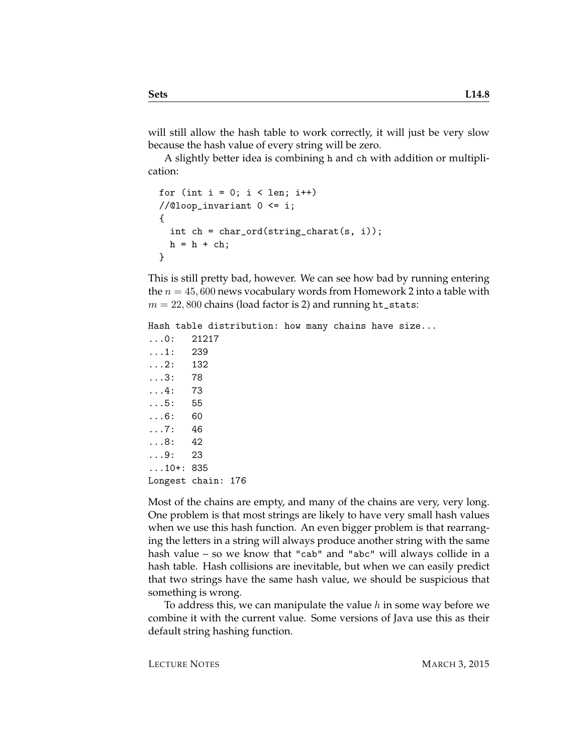will still allow the hash table to work correctly, it will just be very slow because the hash value of every string will be zero.

A slightly better idea is combining h and ch with addition or multiplication:

```
for (int i = 0; i < len; i++)//@loop_invariant 0 <= i;
{
  int ch = char_{ord}(string_{char}(\mathbf{s}, i));h = h + ch;}
```
This is still pretty bad, however. We can see how bad by running entering the  $n = 45,600$  news vocabulary words from Homework 2 into a table with  $m = 22,800$  chains (load factor is 2) and running ht\_stats:

Hash table distribution: how many chains have size... ...0: 21217 ...1: 239 ...2: 132 ...3: 78 ...4: 73 ...5: 55 ...6: 60 ...7: 46 ...8: 42 ...9: 23 ...10+: 835 Longest chain: 176

Most of the chains are empty, and many of the chains are very, very long. One problem is that most strings are likely to have very small hash values when we use this hash function. An even bigger problem is that rearranging the letters in a string will always produce another string with the same hash value – so we know that "cab" and "abc" will always collide in a hash table. Hash collisions are inevitable, but when we can easily predict that two strings have the same hash value, we should be suspicious that something is wrong.

To address this, we can manipulate the value  $h$  in some way before we combine it with the current value. Some versions of Java use this as their default string hashing function.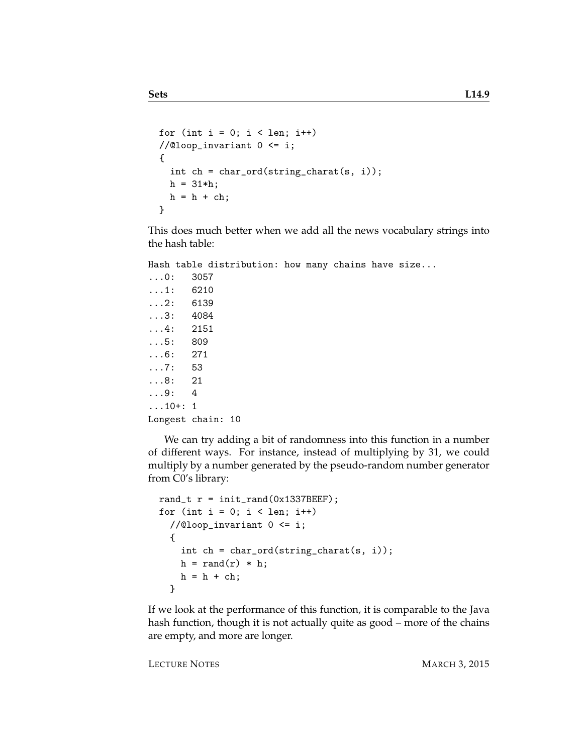```
for (int i = 0; i < len; i++)//@loop_invariant 0 \leq i;{
  int ch = char_ord(string_charat(s, i));
 h = 31 * h;h = h + ch;}
```
This does much better when we add all the news vocabulary strings into the hash table:

Hash table distribution: how many chains have size...

```
...0: 3057
...1: 6210
...2: 6139
...3: 4084
...4: 2151
...5: 809
...6: 271
...7: 53
...8: 21
...9: 4
...10+: 1
Longest chain: 10
```
We can try adding a bit of randomness into this function in a number of different ways. For instance, instead of multiplying by 31, we could multiply by a number generated by the pseudo-random number generator from C0's library:

```
rand_t r = init\_rand(0x1337BEEF);
for (int i = 0; i < len; i++)//@loop_invariant 0 <= i;
  {
    int ch = char_ord(string_charat(s, i));
    h = \text{rand}(r) * h;h = h + ch;}
```
If we look at the performance of this function, it is comparable to the Java hash function, though it is not actually quite as good – more of the chains are empty, and more are longer.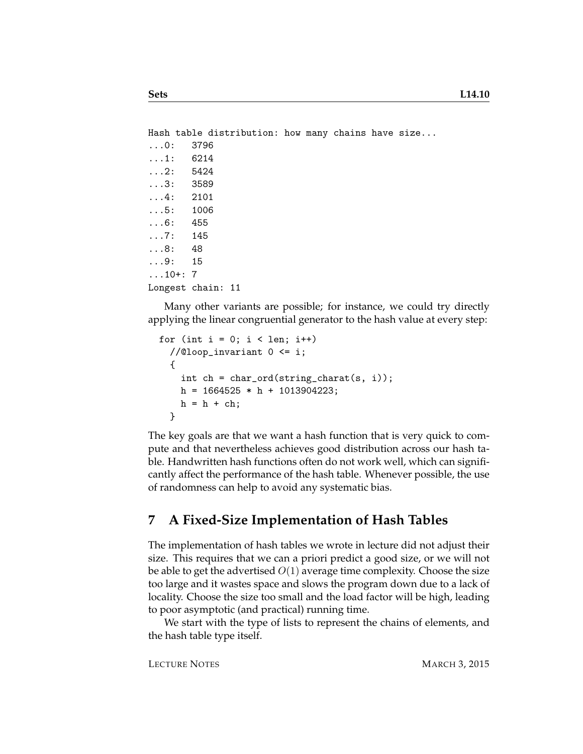```
Hash table distribution: how many chains have size...
...0: 3796
...1: 6214
...2: 5424
...3: 3589
...4: 2101
...5: 1006
...6: 455
...7: 145
...8: 48
...9: 15
...10+: 7
Longest chain: 11
```
Many other variants are possible; for instance, we could try directly applying the linear congruential generator to the hash value at every step:

```
for (int i = 0; i < len; i++)//@loop_invariant 0 <= i;
  {
    int ch = char_{ord}(string_{char}(\mathbf{s}, i));h = 1664525 * h + 1013904223;h = h + ch;}
```
The key goals are that we want a hash function that is very quick to compute and that nevertheless achieves good distribution across our hash table. Handwritten hash functions often do not work well, which can significantly affect the performance of the hash table. Whenever possible, the use of randomness can help to avoid any systematic bias.

### **7 A Fixed-Size Implementation of Hash Tables**

The implementation of hash tables we wrote in lecture did not adjust their size. This requires that we can a priori predict a good size, or we will not be able to get the advertised  $O(1)$  average time complexity. Choose the size too large and it wastes space and slows the program down due to a lack of locality. Choose the size too small and the load factor will be high, leading to poor asymptotic (and practical) running time.

We start with the type of lists to represent the chains of elements, and the hash table type itself.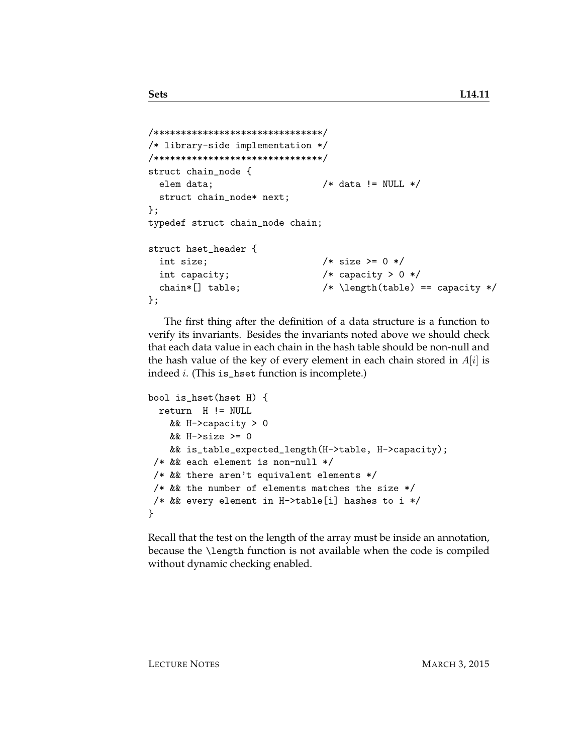```
/*******************************/
/* library-side implementation */
/*******************************/
struct chain_node {
 elem data; /* data != NULL */struct chain_node* next;
};
typedef struct chain_node chain;
struct hset_header {
 int size; /* size > = 0 */int capacity; /* capacity > 0 */chain*[] table; /* \left( \tabla \right) == \text{ capacity } */};
```
The first thing after the definition of a data structure is a function to verify its invariants. Besides the invariants noted above we should check that each data value in each chain in the hash table should be non-null and the hash value of the key of every element in each chain stored in  $A[i]$  is indeed i. (This is\_hset function is incomplete.)

```
bool is_hset(hset H) {
 return H != NULL
   && H->capacity > 0
   && H->size >= 0
   && is_table_expected_length(H->table, H->capacity);
 /* && each element is non-null */
/* && there aren't equivalent elements */
/* && the number of elements matches the size *//* && every element in H->table[i] hashes to i */
}
```
Recall that the test on the length of the array must be inside an annotation, because the \length function is not available when the code is compiled without dynamic checking enabled.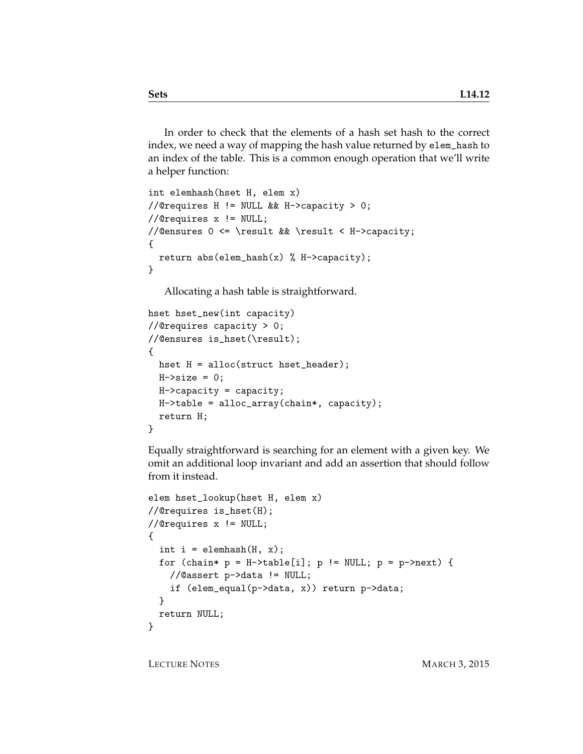In order to check that the elements of a hash set hash to the correct index, we need a way of mapping the hash value returned by elem\_hash to an index of the table. This is a common enough operation that we'll write a helper function:

```
int elemhash(hset H, elem x)
//@requires H != NULL && H->capacity > 0;
//@requires x != NULL;
//@ensures 0 <= \result && \result < H->capacity;
{
 return abs(element(x) % H->capacity);}
```
Allocating a hash table is straightforward.

```
hset hset_new(int capacity)
//@requires capacity > 0;
//@ensures is_hset(\result);
{
 hset H = alloc(struct hset_header);
 H\rightarrow size = 0;H->capacity = capacity;
 H->table = alloc_array(chain*, capacity);
  return H;
}
```
Equally straightforward is searching for an element with a given key. We omit an additional loop invariant and add an assertion that should follow from it instead.

```
elem hset_lookup(hset H, elem x)
//@requires is_hset(H);
//@requires x != NULL;
{
  int i = element(H, x);
 for (chain* p = H-\text{stable}[i]; p := NULL; p = p-\text{next}) {
    //@assert p->data != NULL;
    if (elem_equal(p->data, x)) return p->data;
 }
 return NULL;
}
```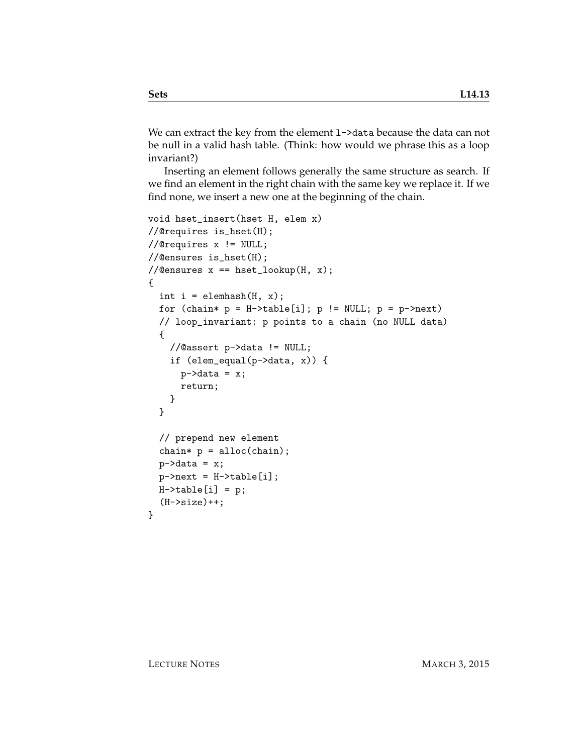We can extract the key from the element 1->data because the data can not be null in a valid hash table. (Think: how would we phrase this as a loop invariant?)

Inserting an element follows generally the same structure as search. If we find an element in the right chain with the same key we replace it. If we find none, we insert a new one at the beginning of the chain.

```
void hset_insert(hset H, elem x)
//@requires is_hset(H);
//@requires x != NULL;
//@ensures is_hset(H);
//@ensures x == hset\_lookup(H, x);{
  int i = element(H, x);
  for (chain* p = H-\text{stable}[i]; p := NULL; p = p-\text{next})
  // loop_invariant: p points to a chain (no NULL data)
  {
    //@assert p->data != NULL;
    if (elem_equal(p->data, x)) {
      p->data = x;
      return;
    }
  }
  // prepend new element
  chain* p = alloc(chain);
  p->data = x;
  p->next = H->table[i];
 H->table[i] = p;
  (H->size)++;
}
```